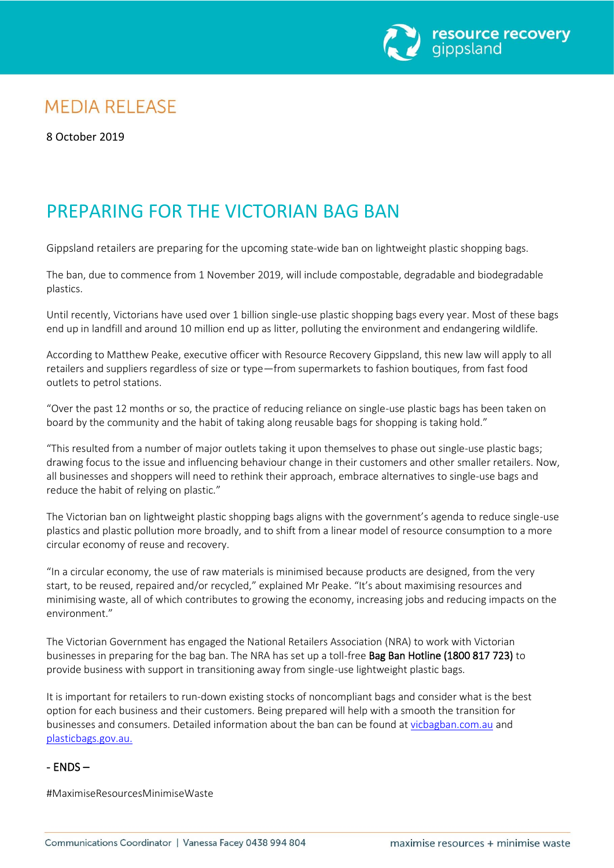

# **MEDIA RELEASE**

8 October 2019

# PREPARING FOR THE VICTORIAN BAG BAN

Gippsland retailers are preparing for the upcoming state-wide ban on lightweight plastic shopping bags.

The ban, due to commence from 1 November 2019, will include compostable, degradable and biodegradable plastics.

Until recently, Victorians have used over 1 billion single-use plastic shopping bags every year. Most of these bags end up in landfill and around 10 million end up as litter, polluting the environment and endangering wildlife.

According to Matthew Peake, executive officer with Resource Recovery Gippsland, this new law will apply to all retailers and suppliers regardless of size or type—from supermarkets to fashion boutiques, from fast food outlets to petrol stations.

"Over the past 12 months or so, the practice of reducing reliance on single-use plastic bags has been taken on board by the community and the habit of taking along reusable bags for shopping is taking hold."

"This resulted from a number of major outlets taking it upon themselves to phase out single-use plastic bags; drawing focus to the issue and influencing behaviour change in their customers and other smaller retailers. Now, all businesses and shoppers will need to rethink their approach, embrace alternatives to single-use bags and reduce the habit of relying on plastic."

The Victorian ban on lightweight plastic shopping bags aligns with the government's agenda to reduce single-use plastics and plastic pollution more broadly, and to shift from a linear model of resource consumption to a more circular economy of reuse and recovery.

"In a circular economy, the use of raw materials is minimised because products are designed, from the very start, to be reused, repaired and/or recycled," explained Mr Peake. "It's about maximising resources and minimising waste, all of which contributes to growing the economy, increasing jobs and reducing impacts on the environment."

The Victorian Government has engaged the National Retailers Association (NRA) to work with Victorian businesses in preparing for the bag ban. The NRA has set up a toll-free Bag Ban Hotline (1800 817 723) to provide business with support in transitioning away from single-use lightweight plastic bags.

It is important for retailers to run-down existing stocks of noncompliant bags and consider what is the best option for each business and their customers. Being prepared will help with a smooth the transition for businesses and consumers. Detailed information about the ban can be found at [vicbagban.com.au](http://www.vicbagban.com.au/) and [plasticbags.gov.au.](http://www.plasticbags.vic.gov.au/)

## $-$  ENDS  $-$

#MaximiseResourcesMinimiseWaste